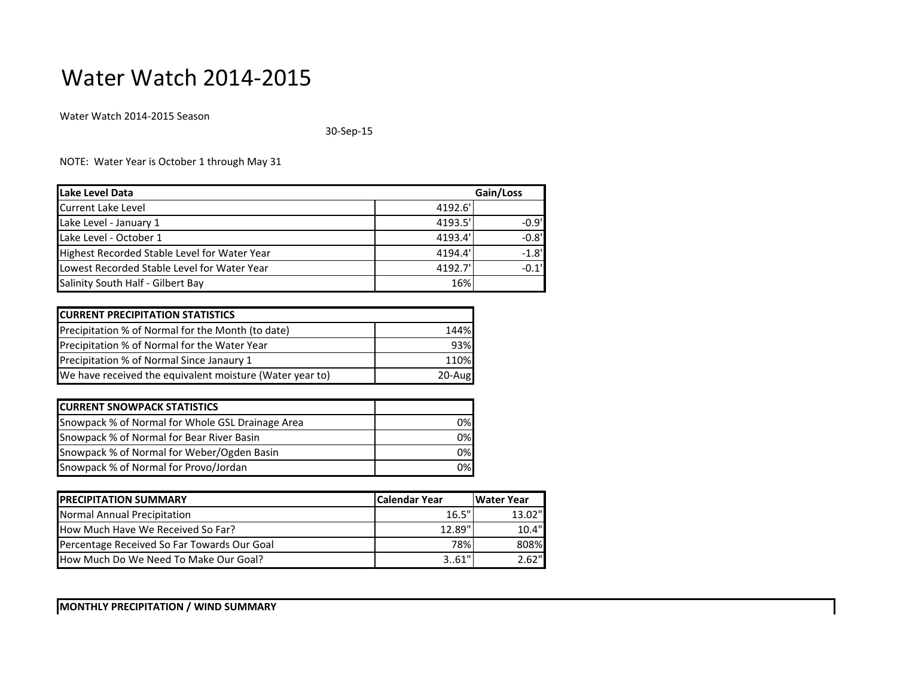## Water Watch 2014-2015

Water Watch 2014-2015 Season

30-Sep-15

NOTE: Water Year is October 1 through May 31

| Lake Level Data                              |         | Gain/Loss |  |
|----------------------------------------------|---------|-----------|--|
| <b>Current Lake Level</b>                    | 4192.6  |           |  |
| Lake Level - January 1                       | 4193.5  | $-0.9'$   |  |
| Lake Level - October 1                       | 4193.4' | $-0.8$ '  |  |
| Highest Recorded Stable Level for Water Year | 4194.4' | $-1.8$    |  |
| Lowest Recorded Stable Level for Water Year  | 4192.7' | $-0.1'$   |  |
| Salinity South Half - Gilbert Bay            | 16%     |           |  |

| <b>CURRENT PRECIPITATION STATISTICS</b>                  |           |
|----------------------------------------------------------|-----------|
| Precipitation % of Normal for the Month (to date)        | 144%      |
| Precipitation % of Normal for the Water Year             | 93%       |
| Precipitation % of Normal Since Janaury 1                | 110%      |
| We have received the equivalent moisture (Water year to) | $20$ -Aug |

| <b>CURRENT SNOWPACK STATISTICS</b>               |     |
|--------------------------------------------------|-----|
| Snowpack % of Normal for Whole GSL Drainage Area | 0%l |
| Snowpack % of Normal for Bear River Basin        | 0%  |
| Snowpack % of Normal for Weber/Ogden Basin       | 0%  |
| Snowpack % of Normal for Provo/Jordan            | 0%  |

| <b>IPRECIPITATION SUMMARY</b>                | lCalendar Year | <b>IWater Year</b> |
|----------------------------------------------|----------------|--------------------|
| Normal Annual Precipitation                  | 16.5"          | 13.02"             |
| How Much Have We Received So Far?            | 12.89"         | 10.4"              |
| Percentage Received So Far Towards Our Goal  | 78%            | 808%               |
| <b>How Much Do We Need To Make Our Goal?</b> | 3.61"          | 2.62"              |